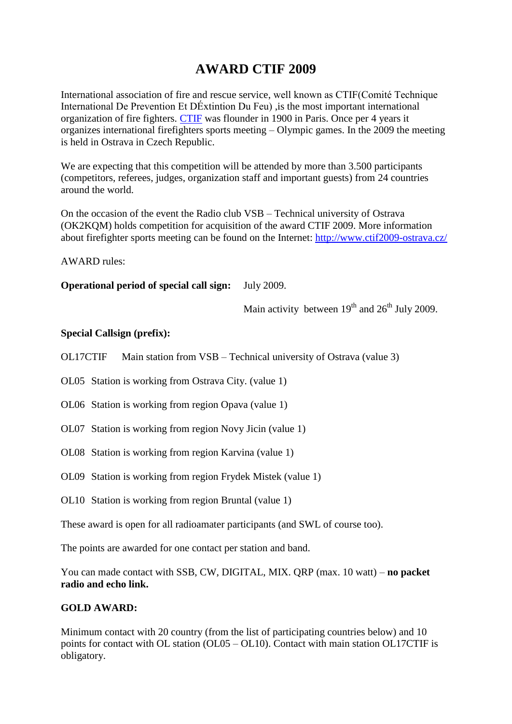# **AWARD CTIF 2009**

International association of fire and rescue service, well known as CTIF(Comité Technique International De Prevention Et DÉxtintion Du Feu) ,is the most important international organization of fire fighters. [CTIF](http://www.ctif.org/) was flounder in 1900 in Paris. Once per 4 years it organizes international firefighters sports meeting – Olympic games. In the 2009 the meeting is held in Ostrava in Czech Republic.

We are expecting that this competition will be attended by more than 3.500 participants (competitors, referees, judges, organization staff and important guests) from 24 countries around the world.

On the occasion of the event the Radio club VSB – Technical university of Ostrava (OK2KQM) holds competition for acquisition of the award CTIF 2009. More information about firefighter sports meeting can be found on the Internet:<http://www.ctif2009-ostrava.cz/>

AWARD rules:

**Operational period of special call sign:** July 2009.

Main activity between  $19<sup>th</sup>$  and  $26<sup>th</sup>$  July 2009.

## **Special Callsign (prefix):**

OL17CTIF Main station from VSB – Technical university of Ostrava (value 3)

OL05 Station is working from Ostrava City. (value 1)

OL06 Station is working from region Opava (value 1)

- OL07 Station is working from region Novy Jicin (value 1)
- OL08 Station is working from region Karvina (value 1)
- OL09 Station is working from region Frydek Mistek (value 1)
- OL10 Station is working from region Bruntal (value 1)

These award is open for all radioamater participants (and SWL of course too).

The points are awarded for one contact per station and band.

You can made contact with SSB, CW, DIGITAL, MIX. QRP (max. 10 watt) – **no packet radio and echo link.** 

#### **GOLD AWARD:**

Minimum contact with 20 country (from the list of participating countries below) and 10 points for contact with OL station (OL05 – OL10). Contact with main station OL17CTIF is obligatory.